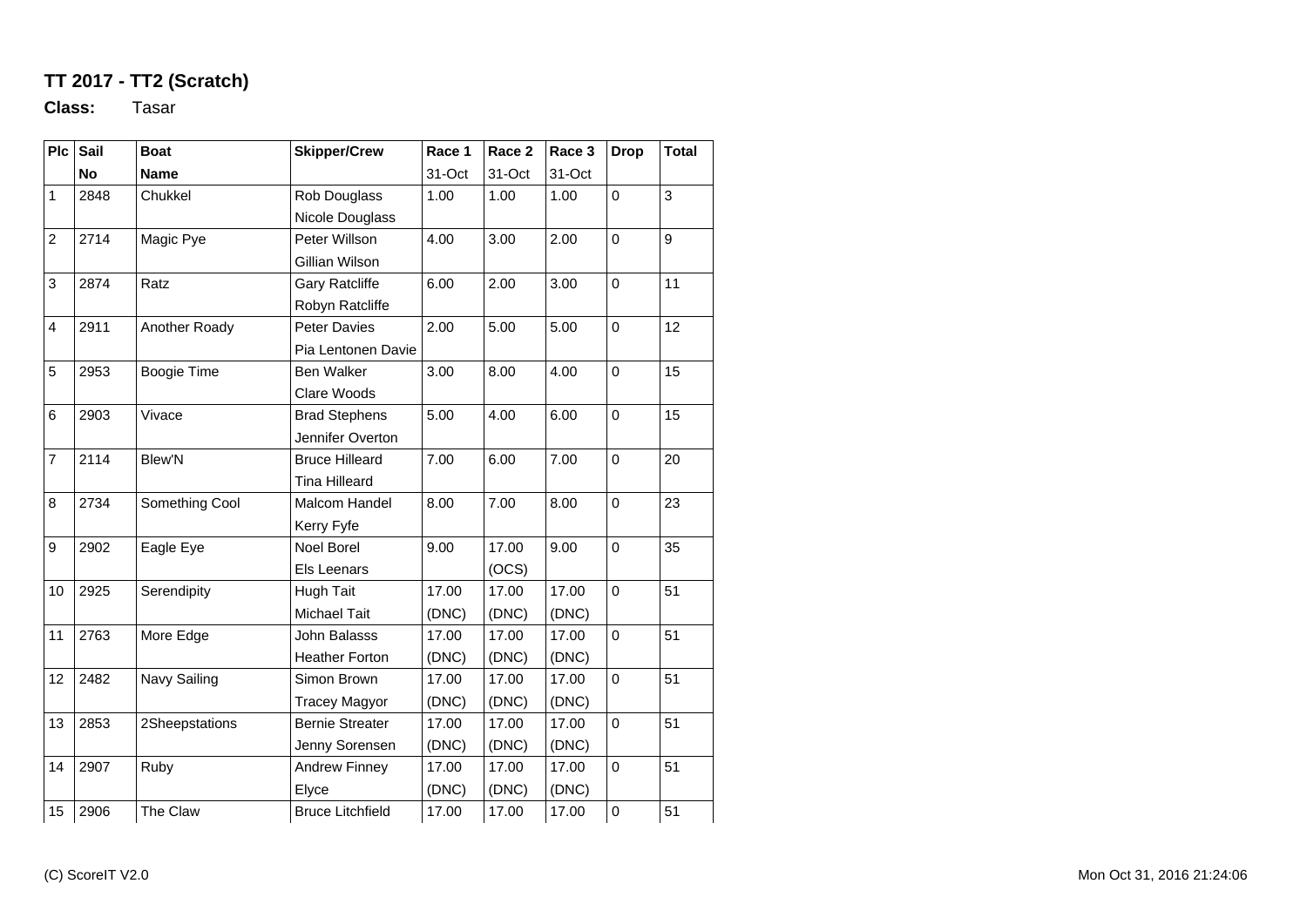## **TT 2017 - TT2 (Scratch)**

**Class:** Tasar

| P <sub>c</sub> | Sail      | <b>Boat</b>    | <b>Skipper/Crew</b>     | Race 1 | Race 2 | Race 3 | <b>Drop</b>    | <b>Total</b> |
|----------------|-----------|----------------|-------------------------|--------|--------|--------|----------------|--------------|
|                | <b>No</b> | <b>Name</b>    |                         | 31-Oct | 31-Oct | 31-Oct |                |              |
| 1              | 2848      | Chukkel        | Rob Douglass            | 1.00   | 1.00   | 1.00   | 0              | 3            |
|                |           |                | Nicole Douglass         |        |        |        |                |              |
| $\overline{c}$ | 2714      | Magic Pye      | Peter Willson           | 4.00   | 3.00   | 2.00   | $\mathbf 0$    | 9            |
|                |           |                | Gillian Wilson          |        |        |        |                |              |
| 3              | 2874      | Ratz           | <b>Gary Ratcliffe</b>   | 6.00   | 2.00   | 3.00   | $\mathbf 0$    | 11           |
|                |           |                | Robyn Ratcliffe         |        |        |        |                |              |
| 4              | 2911      | Another Roady  | <b>Peter Davies</b>     | 2.00   | 5.00   | 5.00   | 0              | 12           |
|                |           |                | Pia Lentonen Davie      |        |        |        |                |              |
| 5              | 2953      | Boogie Time    | Ben Walker              | 3.00   | 8.00   | 4.00   | $\mathbf 0$    | 15           |
|                |           |                | Clare Woods             |        |        |        |                |              |
| 6              | 2903      | Vivace         | <b>Brad Stephens</b>    | 5.00   | 4.00   | 6.00   | $\mathbf 0$    | 15           |
|                |           |                | Jennifer Overton        |        |        |        |                |              |
| $\overline{7}$ | 2114      | <b>Blew'N</b>  | <b>Bruce Hilleard</b>   | 7.00   | 6.00   | 7.00   | $\mathbf 0$    | 20           |
|                |           |                | <b>Tina Hilleard</b>    |        |        |        |                |              |
| 8              | 2734      | Something Cool | Malcom Handel           | 8.00   | 7.00   | 8.00   | $\mathbf 0$    | 23           |
|                |           |                | Kerry Fyfe              |        |        |        |                |              |
| 9              | 2902      | Eagle Eye      | <b>Noel Borel</b>       | 9.00   | 17.00  | 9.00   | $\mathbf 0$    | 35           |
|                |           |                | Els Leenars             |        | (OCS)  |        |                |              |
| 10             | 2925      | Serendipity    | <b>Hugh Tait</b>        | 17.00  | 17.00  | 17.00  | $\mathbf 0$    | 51           |
|                |           |                | Michael Tait            | (DNC)  | (DNC)  | (DNC)  |                |              |
| 11             | 2763      | More Edge      | John Balasss            | 17.00  | 17.00  | 17.00  | $\mathbf 0$    | 51           |
|                |           |                | <b>Heather Forton</b>   | (DNC)  | (DNC)  | (DNC)  |                |              |
| 12             | 2482      | Navy Sailing   | Simon Brown             | 17.00  | 17.00  | 17.00  | $\overline{0}$ | 51           |
|                |           |                | <b>Tracey Magyor</b>    | (DNC)  | (DNC)  | (DNC)  |                |              |
| 13             | 2853      | 2Sheepstations | <b>Bernie Streater</b>  | 17.00  | 17.00  | 17.00  | 0              | 51           |
|                |           |                | Jenny Sorensen          | (DNC)  | (DNC)  | (DNC)  |                |              |
| 14             | 2907      | Ruby           | <b>Andrew Finney</b>    | 17.00  | 17.00  | 17.00  | $\mathbf 0$    | 51           |
|                |           |                | Elyce                   | (DNC)  | (DNC)  | (DNC)  |                |              |
| 15             | 2906      | The Claw       | <b>Bruce Litchfield</b> | 17.00  | 17.00  | 17.00  | $\mathbf 0$    | 51           |